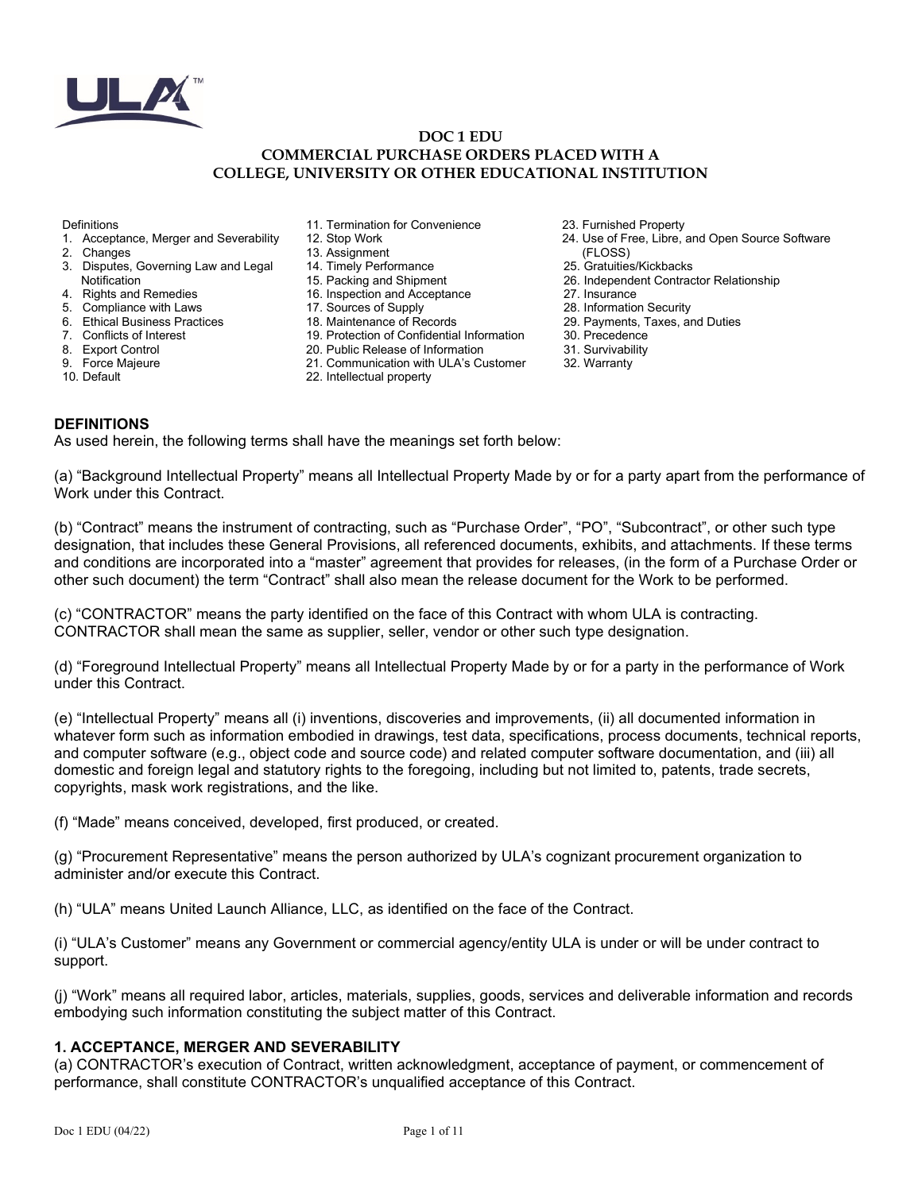

#### **DOC 1 EDU COMMERCIAL PURCHASE ORDERS PLACED WITH A COLLEGE, UNIVERSITY OR OTHER EDUCATIONAL INSTITUTION**

#### Definitions

- 1. Acceptance, Merger and Severability
- 2. Changes
- 3. Disputes, Governing Law and Legal Notification
- 4. Rights and Remedies
- 5. Compliance with Laws
- 6. Ethical Business Practices
- 7. Conflicts of Interest
- 8. Export Control
- 9. Force Majeure
- 10. Default
- 11. Termination for Convenience
- 12. Stop Work
- 13. Assignment
- 14. Timely Performance
- 15. Packing and Shipment 16. Inspection and Acceptance
- 17. Sources of Supply
- 18. Maintenance of Records
- 19. Protection of Confidential Information
- 20. Public Release of Information
- 21. Communication with ULA's Customer
- 22. Intellectual property
- 23. Furnished Property
- 24. Use of Free, Libre, and Open Source Software
- (FLOSS) 25. Gratuities/Kickbacks
- 26. Independent Contractor Relationship
- 27. Insurance
- 
- 28. Information Security 29. Payments, Taxes, and Duties
- 30. Precedence
- 31. Survivability
- 32. Warranty

**DEFINITIONS**

As used herein, the following terms shall have the meanings set forth below:

(a) "Background Intellectual Property" means all Intellectual Property Made by or for a party apart from the performance of Work under this Contract.

(b) "Contract" means the instrument of contracting, such as "Purchase Order", "PO", "Subcontract", or other such type designation, that includes these General Provisions, all referenced documents, exhibits, and attachments. If these terms and conditions are incorporated into a "master" agreement that provides for releases, (in the form of a Purchase Order or other such document) the term "Contract" shall also mean the release document for the Work to be performed.

(c) "CONTRACTOR" means the party identified on the face of this Contract with whom ULA is contracting. CONTRACTOR shall mean the same as supplier, seller, vendor or other such type designation.

(d) "Foreground Intellectual Property" means all Intellectual Property Made by or for a party in the performance of Work under this Contract.

(e) "Intellectual Property" means all (i) inventions, discoveries and improvements, (ii) all documented information in whatever form such as information embodied in drawings, test data, specifications, process documents, technical reports, and computer software (e.g., object code and source code) and related computer software documentation, and (iii) all domestic and foreign legal and statutory rights to the foregoing, including but not limited to, patents, trade secrets, copyrights, mask work registrations, and the like.

(f) "Made" means conceived, developed, first produced, or created.

(g) "Procurement Representative" means the person authorized by ULA's cognizant procurement organization to administer and/or execute this Contract.

(h) "ULA" means United Launch Alliance, LLC, as identified on the face of the Contract.

(i) "ULA's Customer" means any Government or commercial agency/entity ULA is under or will be under contract to support.

(j) "Work" means all required labor, articles, materials, supplies, goods, services and deliverable information and records embodying such information constituting the subject matter of this Contract.

### **1. ACCEPTANCE, MERGER AND SEVERABILITY**

(a) CONTRACTOR's execution of Contract, written acknowledgment, acceptance of payment, or commencement of performance, shall constitute CONTRACTOR's unqualified acceptance of this Contract.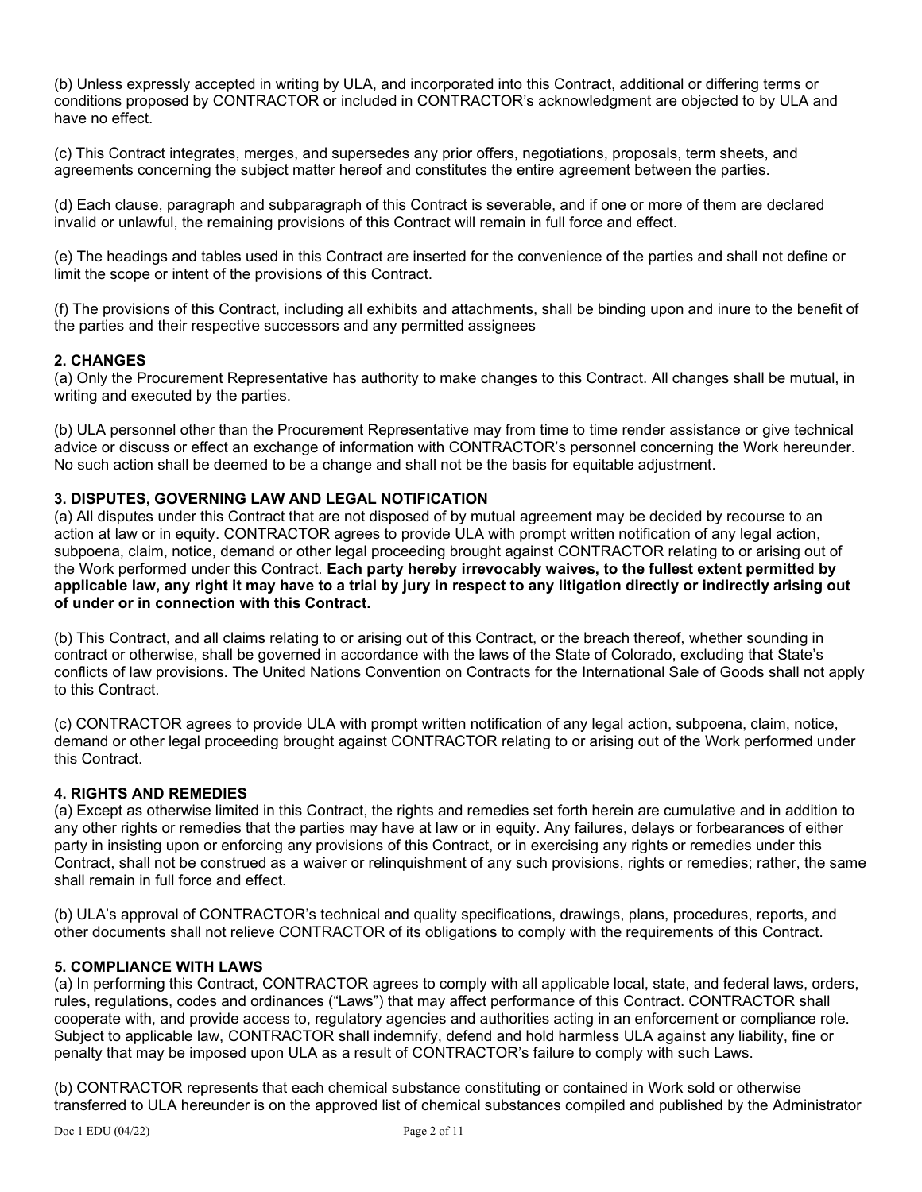(b) Unless expressly accepted in writing by ULA, and incorporated into this Contract, additional or differing terms or conditions proposed by CONTRACTOR or included in CONTRACTOR's acknowledgment are objected to by ULA and have no effect.

(c) This Contract integrates, merges, and supersedes any prior offers, negotiations, proposals, term sheets, and agreements concerning the subject matter hereof and constitutes the entire agreement between the parties.

(d) Each clause, paragraph and subparagraph of this Contract is severable, and if one or more of them are declared invalid or unlawful, the remaining provisions of this Contract will remain in full force and effect.

(e) The headings and tables used in this Contract are inserted for the convenience of the parties and shall not define or limit the scope or intent of the provisions of this Contract.

(f) The provisions of this Contract, including all exhibits and attachments, shall be binding upon and inure to the benefit of the parties and their respective successors and any permitted assignees

# **2. CHANGES**

(a) Only the Procurement Representative has authority to make changes to this Contract. All changes shall be mutual, in writing and executed by the parties.

(b) ULA personnel other than the Procurement Representative may from time to time render assistance or give technical advice or discuss or effect an exchange of information with CONTRACTOR's personnel concerning the Work hereunder. No such action shall be deemed to be a change and shall not be the basis for equitable adjustment.

# **3. DISPUTES, GOVERNING LAW AND LEGAL NOTIFICATION**

(a) All disputes under this Contract that are not disposed of by mutual agreement may be decided by recourse to an action at law or in equity. CONTRACTOR agrees to provide ULA with prompt written notification of any legal action, subpoena, claim, notice, demand or other legal proceeding brought against CONTRACTOR relating to or arising out of the Work performed under this Contract. **Each party hereby irrevocably waives, to the fullest extent permitted by applicable law, any right it may have to a trial by jury in respect to any litigation directly or indirectly arising out of under or in connection with this Contract.**

(b) This Contract, and all claims relating to or arising out of this Contract, or the breach thereof, whether sounding in contract or otherwise, shall be governed in accordance with the laws of the State of Colorado, excluding that State's conflicts of law provisions. The United Nations Convention on Contracts for the International Sale of Goods shall not apply to this Contract.

(c) CONTRACTOR agrees to provide ULA with prompt written notification of any legal action, subpoena, claim, notice, demand or other legal proceeding brought against CONTRACTOR relating to or arising out of the Work performed under this Contract.

### **4. RIGHTS AND REMEDIES**

(a) Except as otherwise limited in this Contract, the rights and remedies set forth herein are cumulative and in addition to any other rights or remedies that the parties may have at law or in equity. Any failures, delays or forbearances of either party in insisting upon or enforcing any provisions of this Contract, or in exercising any rights or remedies under this Contract, shall not be construed as a waiver or relinquishment of any such provisions, rights or remedies; rather, the same shall remain in full force and effect.

(b) ULA's approval of CONTRACTOR's technical and quality specifications, drawings, plans, procedures, reports, and other documents shall not relieve CONTRACTOR of its obligations to comply with the requirements of this Contract.

### **5. COMPLIANCE WITH LAWS**

(a) In performing this Contract, CONTRACTOR agrees to comply with all applicable local, state, and federal laws, orders, rules, regulations, codes and ordinances ("Laws") that may affect performance of this Contract. CONTRACTOR shall cooperate with, and provide access to, regulatory agencies and authorities acting in an enforcement or compliance role. Subject to applicable law, CONTRACTOR shall indemnify, defend and hold harmless ULA against any liability, fine or penalty that may be imposed upon ULA as a result of CONTRACTOR's failure to comply with such Laws.

(b) CONTRACTOR represents that each chemical substance constituting or contained in Work sold or otherwise transferred to ULA hereunder is on the approved list of chemical substances compiled and published by the Administrator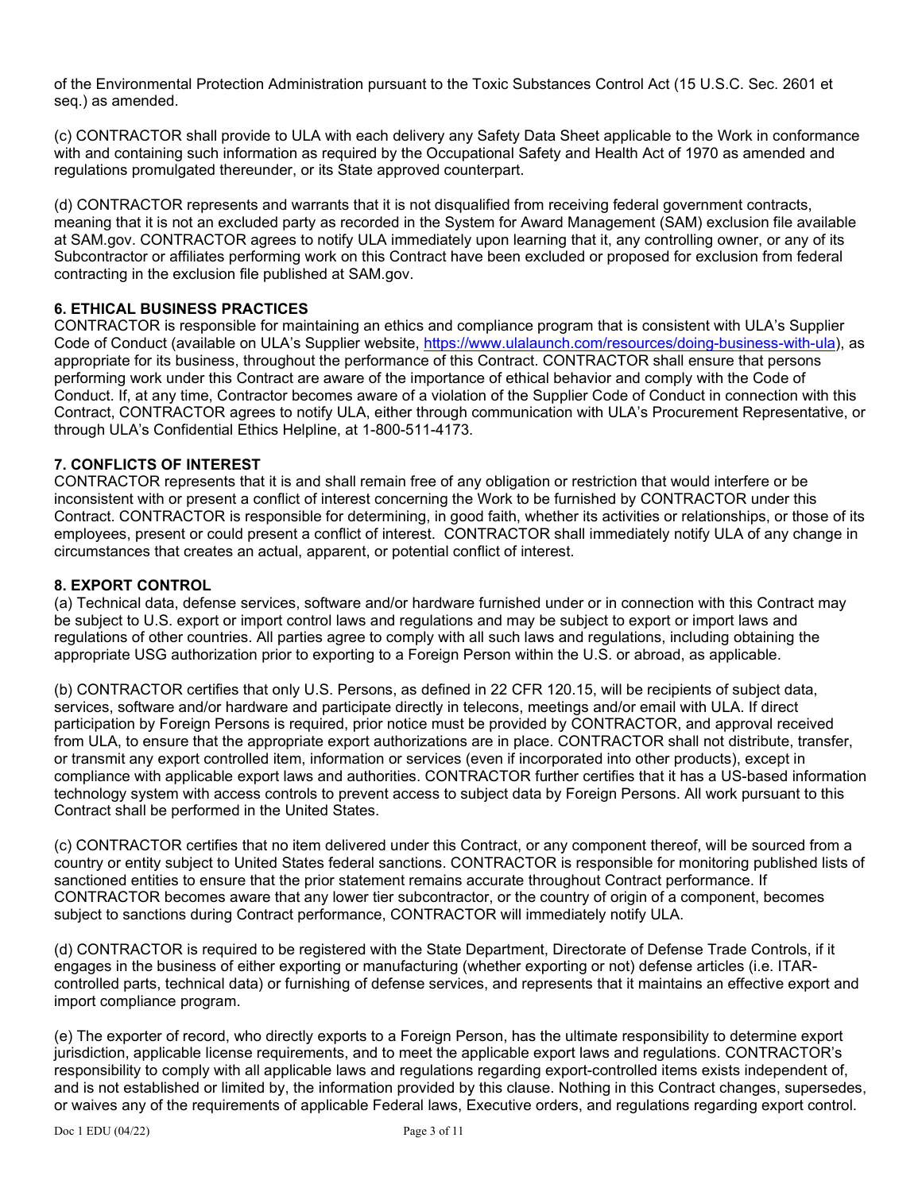of the Environmental Protection Administration pursuant to the Toxic Substances Control Act (15 U.S.C. Sec. 2601 et seq.) as amended.

(c) CONTRACTOR shall provide to ULA with each delivery any Safety Data Sheet applicable to the Work in conformance with and containing such information as required by the Occupational Safety and Health Act of 1970 as amended and regulations promulgated thereunder, or its State approved counterpart.

(d) CONTRACTOR represents and warrants that it is not disqualified from receiving federal government contracts, meaning that it is not an excluded party as recorded in the System for Award Management (SAM) exclusion file available at SAM.gov. CONTRACTOR agrees to notify ULA immediately upon learning that it, any controlling owner, or any of its Subcontractor or affiliates performing work on this Contract have been excluded or proposed for exclusion from federal contracting in the exclusion file published at SAM.gov.

# **6. ETHICAL BUSINESS PRACTICES**

CONTRACTOR is responsible for maintaining an ethics and compliance program that is consistent with ULA's Supplier Code of Conduct (available on ULA's Supplier website, [https://www.ulalaunch.com/resources/doing-business-with-ula\)](https://www.ulalaunch.com/resources/doing-business-with-ula), as appropriate for its business, throughout the performance of this Contract. CONTRACTOR shall ensure that persons performing work under this Contract are aware of the importance of ethical behavior and comply with the Code of Conduct. If, at any time, Contractor becomes aware of a violation of the Supplier Code of Conduct in connection with this Contract, CONTRACTOR agrees to notify ULA, either through communication with ULA's Procurement Representative, or through ULA's Confidential Ethics Helpline, at 1-800-511-4173.

### **7. CONFLICTS OF INTEREST**

CONTRACTOR represents that it is and shall remain free of any obligation or restriction that would interfere or be inconsistent with or present a conflict of interest concerning the Work to be furnished by CONTRACTOR under this Contract. CONTRACTOR is responsible for determining, in good faith, whether its activities or relationships, or those of its employees, present or could present a conflict of interest. CONTRACTOR shall immediately notify ULA of any change in circumstances that creates an actual, apparent, or potential conflict of interest.

# **8. EXPORT CONTROL**

(a) Technical data, defense services, software and/or hardware furnished under or in connection with this Contract may be subject to U.S. export or import control laws and regulations and may be subject to export or import laws and regulations of other countries. All parties agree to comply with all such laws and regulations, including obtaining the appropriate USG authorization prior to exporting to a Foreign Person within the U.S. or abroad, as applicable.

(b) CONTRACTOR certifies that only U.S. Persons, as defined in 22 CFR 120.15, will be recipients of subject data, services, software and/or hardware and participate directly in telecons, meetings and/or email with ULA. If direct participation by Foreign Persons is required, prior notice must be provided by CONTRACTOR, and approval received from ULA, to ensure that the appropriate export authorizations are in place. CONTRACTOR shall not distribute, transfer, or transmit any export controlled item, information or services (even if incorporated into other products), except in compliance with applicable export laws and authorities. CONTRACTOR further certifies that it has a US-based information technology system with access controls to prevent access to subject data by Foreign Persons. All work pursuant to this Contract shall be performed in the United States.

(c) CONTRACTOR certifies that no item delivered under this Contract, or any component thereof, will be sourced from a country or entity subject to United States federal sanctions. CONTRACTOR is responsible for monitoring published lists of sanctioned entities to ensure that the prior statement remains accurate throughout Contract performance. If CONTRACTOR becomes aware that any lower tier subcontractor, or the country of origin of a component, becomes subject to sanctions during Contract performance, CONTRACTOR will immediately notify ULA.

(d) CONTRACTOR is required to be registered with the State Department, Directorate of Defense Trade Controls, if it engages in the business of either exporting or manufacturing (whether exporting or not) defense articles (i.e. ITARcontrolled parts, technical data) or furnishing of defense services, and represents that it maintains an effective export and import compliance program.

(e) The exporter of record, who directly exports to a Foreign Person, has the ultimate responsibility to determine export jurisdiction, applicable license requirements, and to meet the applicable export laws and regulations. CONTRACTOR's responsibility to comply with all applicable laws and regulations regarding export-controlled items exists independent of, and is not established or limited by, the information provided by this clause. Nothing in this Contract changes, supersedes, or waives any of the requirements of applicable Federal laws, Executive orders, and regulations regarding export control.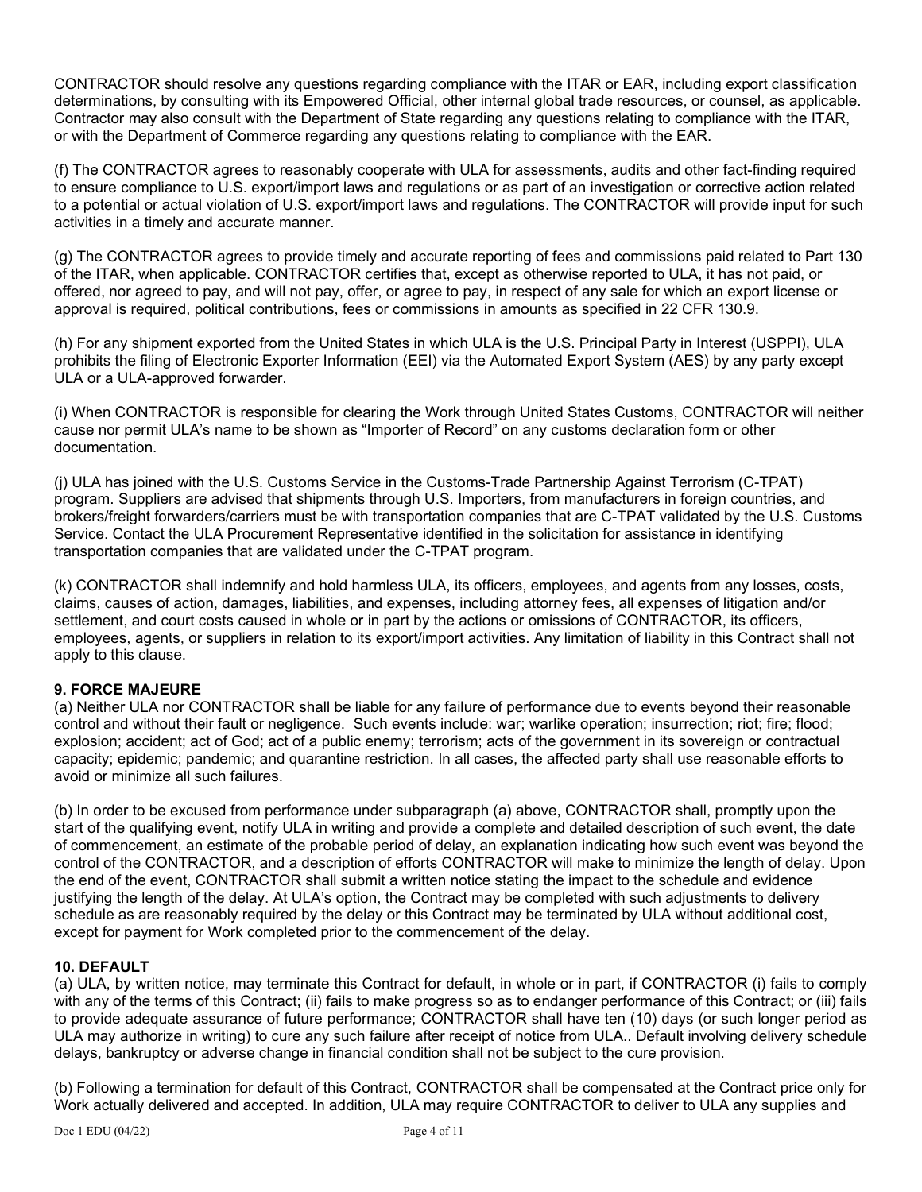CONTRACTOR should resolve any questions regarding compliance with the ITAR or EAR, including export classification determinations, by consulting with its Empowered Official, other internal global trade resources, or counsel, as applicable. Contractor may also consult with the Department of State regarding any questions relating to compliance with the ITAR, or with the Department of Commerce regarding any questions relating to compliance with the EAR.

(f) The CONTRACTOR agrees to reasonably cooperate with ULA for assessments, audits and other fact-finding required to ensure compliance to U.S. export/import laws and regulations or as part of an investigation or corrective action related to a potential or actual violation of U.S. export/import laws and regulations. The CONTRACTOR will provide input for such activities in a timely and accurate manner.

(g) The CONTRACTOR agrees to provide timely and accurate reporting of fees and commissions paid related to Part 130 of the ITAR, when applicable. CONTRACTOR certifies that, except as otherwise reported to ULA, it has not paid, or offered, nor agreed to pay, and will not pay, offer, or agree to pay, in respect of any sale for which an export license or approval is required, political contributions, fees or commissions in amounts as specified in 22 CFR 130.9.

(h) For any shipment exported from the United States in which ULA is the U.S. Principal Party in Interest (USPPI), ULA prohibits the filing of Electronic Exporter Information (EEI) via the Automated Export System (AES) by any party except ULA or a ULA-approved forwarder.

(i) When CONTRACTOR is responsible for clearing the Work through United States Customs, CONTRACTOR will neither cause nor permit ULA's name to be shown as "Importer of Record" on any customs declaration form or other documentation.

(j) ULA has joined with the U.S. Customs Service in the Customs-Trade Partnership Against Terrorism (C-TPAT) program. Suppliers are advised that shipments through U.S. Importers, from manufacturers in foreign countries, and brokers/freight forwarders/carriers must be with transportation companies that are C-TPAT validated by the U.S. Customs Service. Contact the ULA Procurement Representative identified in the solicitation for assistance in identifying transportation companies that are validated under the C-TPAT program.

(k) CONTRACTOR shall indemnify and hold harmless ULA, its officers, employees, and agents from any losses, costs, claims, causes of action, damages, liabilities, and expenses, including attorney fees, all expenses of litigation and/or settlement, and court costs caused in whole or in part by the actions or omissions of CONTRACTOR, its officers, employees, agents, or suppliers in relation to its export/import activities. Any limitation of liability in this Contract shall not apply to this clause.

# **9. FORCE MAJEURE**

(a) Neither ULA nor CONTRACTOR shall be liable for any failure of performance due to events beyond their reasonable control and without their fault or negligence. Such events include: war; warlike operation; insurrection; riot; fire; flood; explosion; accident; act of God; act of a public enemy; terrorism; acts of the government in its sovereign or contractual capacity; epidemic; pandemic; and quarantine restriction. In all cases, the affected party shall use reasonable efforts to avoid or minimize all such failures.

(b) In order to be excused from performance under subparagraph (a) above, CONTRACTOR shall, promptly upon the start of the qualifying event, notify ULA in writing and provide a complete and detailed description of such event, the date of commencement, an estimate of the probable period of delay, an explanation indicating how such event was beyond the control of the CONTRACTOR, and a description of efforts CONTRACTOR will make to minimize the length of delay. Upon the end of the event, CONTRACTOR shall submit a written notice stating the impact to the schedule and evidence justifying the length of the delay. At ULA's option, the Contract may be completed with such adjustments to delivery schedule as are reasonably required by the delay or this Contract may be terminated by ULA without additional cost, except for payment for Work completed prior to the commencement of the delay.

### **10. DEFAULT**

(a) ULA, by written notice, may terminate this Contract for default, in whole or in part, if CONTRACTOR (i) fails to comply with any of the terms of this Contract; (ii) fails to make progress so as to endanger performance of this Contract; or (iii) fails to provide adequate assurance of future performance; CONTRACTOR shall have ten (10) days (or such longer period as ULA may authorize in writing) to cure any such failure after receipt of notice from ULA.. Default involving delivery schedule delays, bankruptcy or adverse change in financial condition shall not be subject to the cure provision.

(b) Following a termination for default of this Contract, CONTRACTOR shall be compensated at the Contract price only for Work actually delivered and accepted. In addition, ULA may require CONTRACTOR to deliver to ULA any supplies and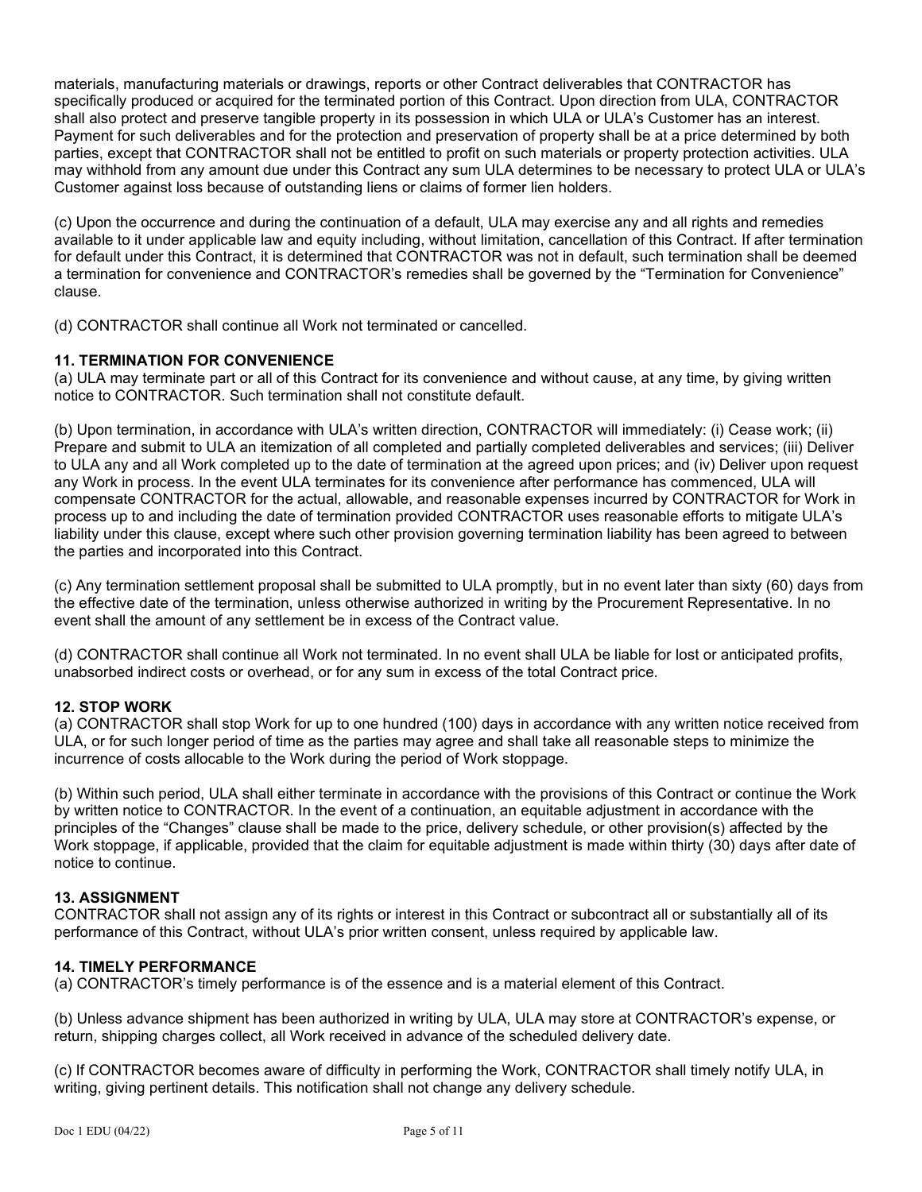materials, manufacturing materials or drawings, reports or other Contract deliverables that CONTRACTOR has specifically produced or acquired for the terminated portion of this Contract. Upon direction from ULA, CONTRACTOR shall also protect and preserve tangible property in its possession in which ULA or ULA's Customer has an interest. Payment for such deliverables and for the protection and preservation of property shall be at a price determined by both parties, except that CONTRACTOR shall not be entitled to profit on such materials or property protection activities. ULA may withhold from any amount due under this Contract any sum ULA determines to be necessary to protect ULA or ULA's Customer against loss because of outstanding liens or claims of former lien holders.

(c) Upon the occurrence and during the continuation of a default, ULA may exercise any and all rights and remedies available to it under applicable law and equity including, without limitation, cancellation of this Contract. If after termination for default under this Contract, it is determined that CONTRACTOR was not in default, such termination shall be deemed a termination for convenience and CONTRACTOR's remedies shall be governed by the "Termination for Convenience" clause.

(d) CONTRACTOR shall continue all Work not terminated or cancelled.

# **11. TERMINATION FOR CONVENIENCE**

(a) ULA may terminate part or all of this Contract for its convenience and without cause, at any time, by giving written notice to CONTRACTOR. Such termination shall not constitute default.

(b) Upon termination, in accordance with ULA's written direction, CONTRACTOR will immediately: (i) Cease work; (ii) Prepare and submit to ULA an itemization of all completed and partially completed deliverables and services; (iii) Deliver to ULA any and all Work completed up to the date of termination at the agreed upon prices; and (iv) Deliver upon request any Work in process. In the event ULA terminates for its convenience after performance has commenced, ULA will compensate CONTRACTOR for the actual, allowable, and reasonable expenses incurred by CONTRACTOR for Work in process up to and including the date of termination provided CONTRACTOR uses reasonable efforts to mitigate ULA's liability under this clause, except where such other provision governing termination liability has been agreed to between the parties and incorporated into this Contract.

(c) Any termination settlement proposal shall be submitted to ULA promptly, but in no event later than sixty (60) days from the effective date of the termination, unless otherwise authorized in writing by the Procurement Representative. In no event shall the amount of any settlement be in excess of the Contract value.

(d) CONTRACTOR shall continue all Work not terminated. In no event shall ULA be liable for lost or anticipated profits, unabsorbed indirect costs or overhead, or for any sum in excess of the total Contract price.

### **12. STOP WORK**

(a) CONTRACTOR shall stop Work for up to one hundred (100) days in accordance with any written notice received from ULA, or for such longer period of time as the parties may agree and shall take all reasonable steps to minimize the incurrence of costs allocable to the Work during the period of Work stoppage.

(b) Within such period, ULA shall either terminate in accordance with the provisions of this Contract or continue the Work by written notice to CONTRACTOR. In the event of a continuation, an equitable adjustment in accordance with the principles of the "Changes" clause shall be made to the price, delivery schedule, or other provision(s) affected by the Work stoppage, if applicable, provided that the claim for equitable adjustment is made within thirty (30) days after date of notice to continue.

### **13. ASSIGNMENT**

CONTRACTOR shall not assign any of its rights or interest in this Contract or subcontract all or substantially all of its performance of this Contract, without ULA's prior written consent, unless required by applicable law.

### **14. TIMELY PERFORMANCE**

(a) CONTRACTOR's timely performance is of the essence and is a material element of this Contract.

(b) Unless advance shipment has been authorized in writing by ULA, ULA may store at CONTRACTOR's expense, or return, shipping charges collect, all Work received in advance of the scheduled delivery date.

(c) If CONTRACTOR becomes aware of difficulty in performing the Work, CONTRACTOR shall timely notify ULA, in writing, giving pertinent details. This notification shall not change any delivery schedule.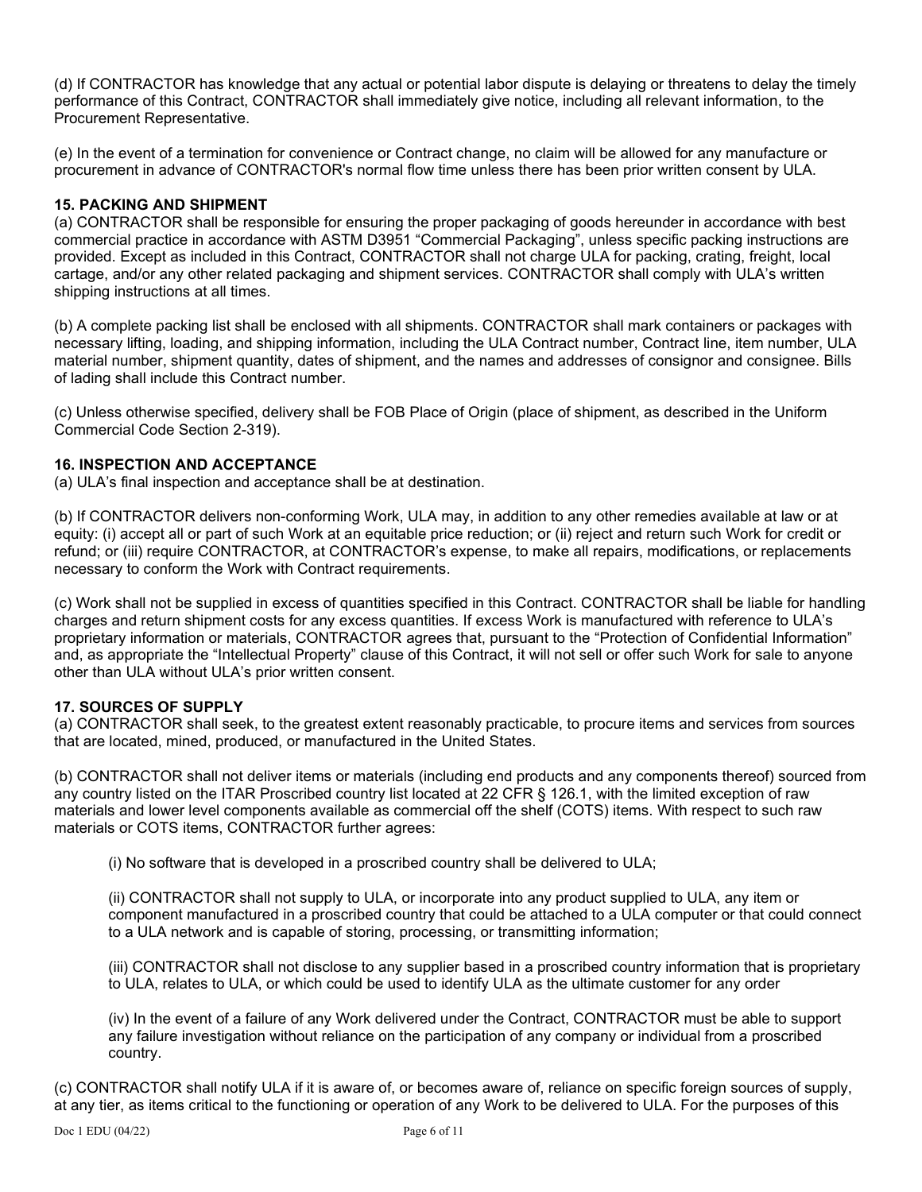(d) If CONTRACTOR has knowledge that any actual or potential labor dispute is delaying or threatens to delay the timely performance of this Contract, CONTRACTOR shall immediately give notice, including all relevant information, to the Procurement Representative.

(e) In the event of a termination for convenience or Contract change, no claim will be allowed for any manufacture or procurement in advance of CONTRACTOR's normal flow time unless there has been prior written consent by ULA.

# **15. PACKING AND SHIPMENT**

(a) CONTRACTOR shall be responsible for ensuring the proper packaging of goods hereunder in accordance with best commercial practice in accordance with ASTM D3951 "Commercial Packaging", unless specific packing instructions are provided. Except as included in this Contract, CONTRACTOR shall not charge ULA for packing, crating, freight, local cartage, and/or any other related packaging and shipment services. CONTRACTOR shall comply with ULA's written shipping instructions at all times.

(b) A complete packing list shall be enclosed with all shipments. CONTRACTOR shall mark containers or packages with necessary lifting, loading, and shipping information, including the ULA Contract number, Contract line, item number, ULA material number, shipment quantity, dates of shipment, and the names and addresses of consignor and consignee. Bills of lading shall include this Contract number.

(c) Unless otherwise specified, delivery shall be FOB Place of Origin (place of shipment, as described in the Uniform Commercial Code Section 2-319).

# **16. INSPECTION AND ACCEPTANCE**

(a) ULA's final inspection and acceptance shall be at destination.

(b) If CONTRACTOR delivers non-conforming Work, ULA may, in addition to any other remedies available at law or at equity: (i) accept all or part of such Work at an equitable price reduction; or (ii) reject and return such Work for credit or refund; or (iii) require CONTRACTOR, at CONTRACTOR's expense, to make all repairs, modifications, or replacements necessary to conform the Work with Contract requirements.

(c) Work shall not be supplied in excess of quantities specified in this Contract. CONTRACTOR shall be liable for handling charges and return shipment costs for any excess quantities. If excess Work is manufactured with reference to ULA's proprietary information or materials, CONTRACTOR agrees that, pursuant to the "Protection of Confidential Information" and, as appropriate the "Intellectual Property" clause of this Contract, it will not sell or offer such Work for sale to anyone other than ULA without ULA's prior written consent.

# **17. SOURCES OF SUPPLY**

(a) CONTRACTOR shall seek, to the greatest extent reasonably practicable, to procure items and services from sources that are located, mined, produced, or manufactured in the United States.

(b) CONTRACTOR shall not deliver items or materials (including end products and any components thereof) sourced from any country listed on the ITAR Proscribed country list located at 22 CFR § 126.1, with the limited exception of raw materials and lower level components available as commercial off the shelf (COTS) items. With respect to such raw materials or COTS items, CONTRACTOR further agrees:

(i) No software that is developed in a proscribed country shall be delivered to ULA;

(ii) CONTRACTOR shall not supply to ULA, or incorporate into any product supplied to ULA, any item or component manufactured in a proscribed country that could be attached to a ULA computer or that could connect to a ULA network and is capable of storing, processing, or transmitting information;

(iii) CONTRACTOR shall not disclose to any supplier based in a proscribed country information that is proprietary to ULA, relates to ULA, or which could be used to identify ULA as the ultimate customer for any order

(iv) In the event of a failure of any Work delivered under the Contract, CONTRACTOR must be able to support any failure investigation without reliance on the participation of any company or individual from a proscribed country.

(c) CONTRACTOR shall notify ULA if it is aware of, or becomes aware of, reliance on specific foreign sources of supply, at any tier, as items critical to the functioning or operation of any Work to be delivered to ULA. For the purposes of this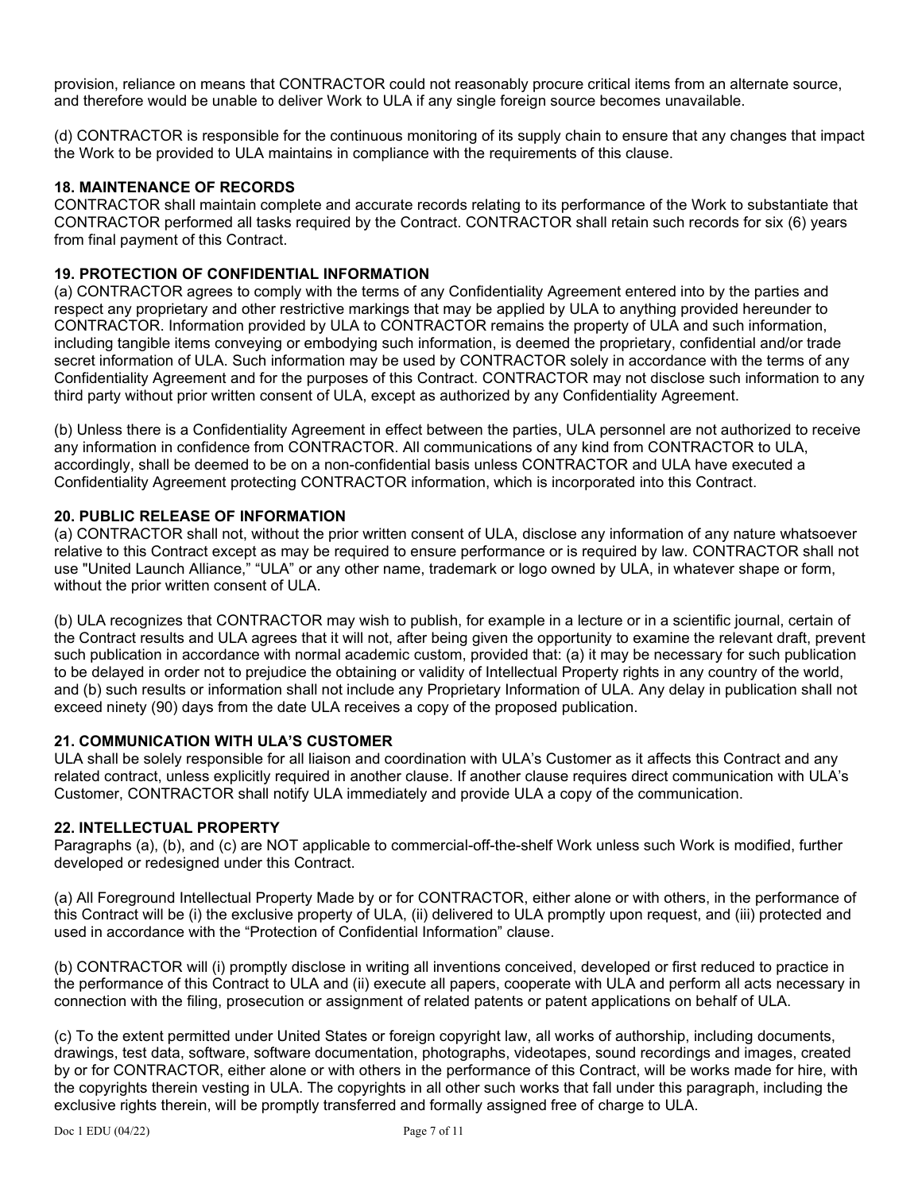provision, reliance on means that CONTRACTOR could not reasonably procure critical items from an alternate source, and therefore would be unable to deliver Work to ULA if any single foreign source becomes unavailable.

(d) CONTRACTOR is responsible for the continuous monitoring of its supply chain to ensure that any changes that impact the Work to be provided to ULA maintains in compliance with the requirements of this clause.

# **18. MAINTENANCE OF RECORDS**

CONTRACTOR shall maintain complete and accurate records relating to its performance of the Work to substantiate that CONTRACTOR performed all tasks required by the Contract. CONTRACTOR shall retain such records for six (6) years from final payment of this Contract.

### **19. PROTECTION OF CONFIDENTIAL INFORMATION**

(a) CONTRACTOR agrees to comply with the terms of any Confidentiality Agreement entered into by the parties and respect any proprietary and other restrictive markings that may be applied by ULA to anything provided hereunder to CONTRACTOR. Information provided by ULA to CONTRACTOR remains the property of ULA and such information, including tangible items conveying or embodying such information, is deemed the proprietary, confidential and/or trade secret information of ULA. Such information may be used by CONTRACTOR solely in accordance with the terms of any Confidentiality Agreement and for the purposes of this Contract. CONTRACTOR may not disclose such information to any third party without prior written consent of ULA, except as authorized by any Confidentiality Agreement.

(b) Unless there is a Confidentiality Agreement in effect between the parties, ULA personnel are not authorized to receive any information in confidence from CONTRACTOR. All communications of any kind from CONTRACTOR to ULA, accordingly, shall be deemed to be on a non-confidential basis unless CONTRACTOR and ULA have executed a Confidentiality Agreement protecting CONTRACTOR information, which is incorporated into this Contract.

# **20. PUBLIC RELEASE OF INFORMATION**

(a) CONTRACTOR shall not, without the prior written consent of ULA, disclose any information of any nature whatsoever relative to this Contract except as may be required to ensure performance or is required by law. CONTRACTOR shall not use "United Launch Alliance," "ULA" or any other name, trademark or logo owned by ULA, in whatever shape or form, without the prior written consent of ULA.

(b) ULA recognizes that CONTRACTOR may wish to publish, for example in a lecture or in a scientific journal, certain of the Contract results and ULA agrees that it will not, after being given the opportunity to examine the relevant draft, prevent such publication in accordance with normal academic custom, provided that: (a) it may be necessary for such publication to be delayed in order not to prejudice the obtaining or validity of Intellectual Property rights in any country of the world, and (b) such results or information shall not include any Proprietary Information of ULA. Any delay in publication shall not exceed ninety (90) days from the date ULA receives a copy of the proposed publication.

### **21. COMMUNICATION WITH ULA'S CUSTOMER**

ULA shall be solely responsible for all liaison and coordination with ULA's Customer as it affects this Contract and any related contract, unless explicitly required in another clause. If another clause requires direct communication with ULA's Customer, CONTRACTOR shall notify ULA immediately and provide ULA a copy of the communication.

### **22. INTELLECTUAL PROPERTY**

Paragraphs (a), (b), and (c) are NOT applicable to commercial-off-the-shelf Work unless such Work is modified, further developed or redesigned under this Contract.

(a) All Foreground Intellectual Property Made by or for CONTRACTOR, either alone or with others, in the performance of this Contract will be (i) the exclusive property of ULA, (ii) delivered to ULA promptly upon request, and (iii) protected and used in accordance with the "Protection of Confidential Information" clause.

(b) CONTRACTOR will (i) promptly disclose in writing all inventions conceived, developed or first reduced to practice in the performance of this Contract to ULA and (ii) execute all papers, cooperate with ULA and perform all acts necessary in connection with the filing, prosecution or assignment of related patents or patent applications on behalf of ULA.

(c) To the extent permitted under United States or foreign copyright law, all works of authorship, including documents, drawings, test data, software, software documentation, photographs, videotapes, sound recordings and images, created by or for CONTRACTOR, either alone or with others in the performance of this Contract, will be works made for hire, with the copyrights therein vesting in ULA. The copyrights in all other such works that fall under this paragraph, including the exclusive rights therein, will be promptly transferred and formally assigned free of charge to ULA.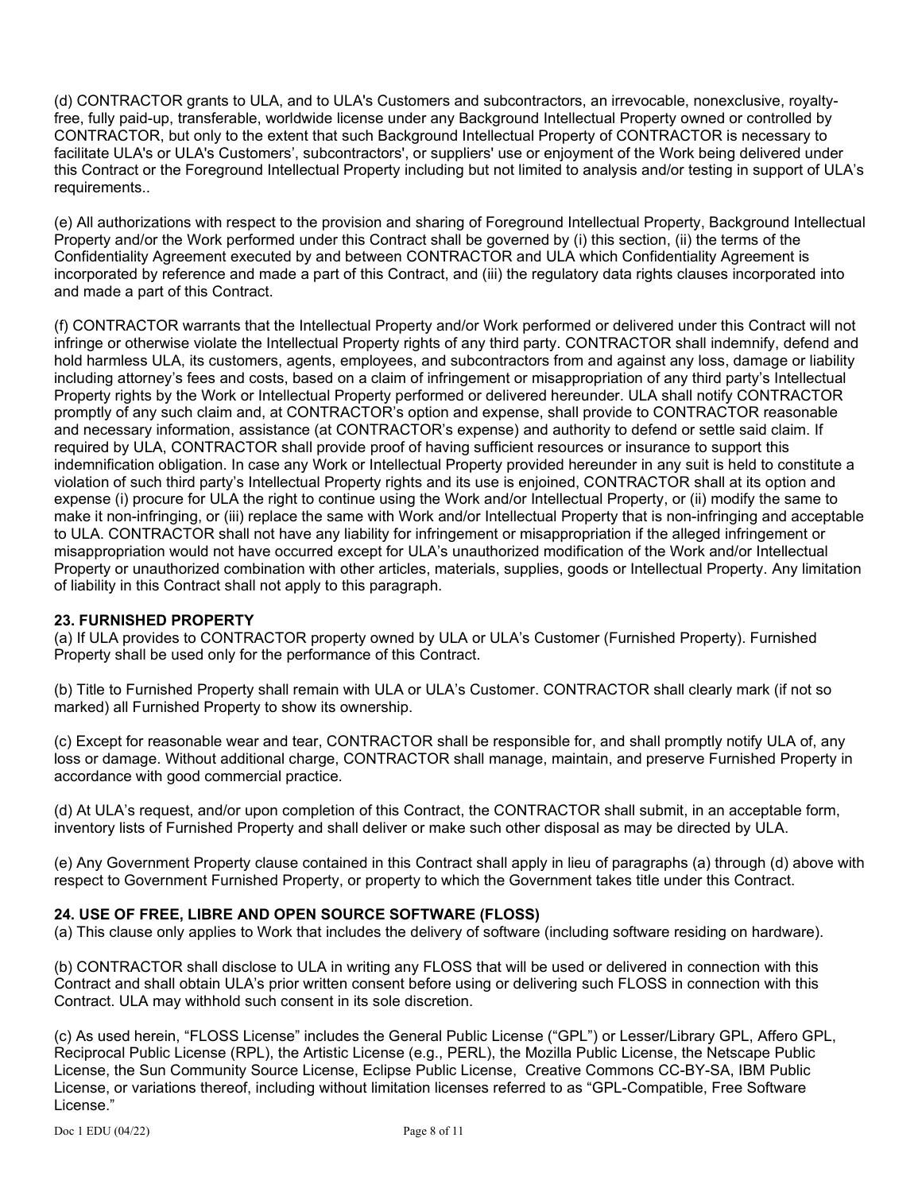(d) CONTRACTOR grants to ULA, and to ULA's Customers and subcontractors, an irrevocable, nonexclusive, royaltyfree, fully paid-up, transferable, worldwide license under any Background Intellectual Property owned or controlled by CONTRACTOR, but only to the extent that such Background Intellectual Property of CONTRACTOR is necessary to facilitate ULA's or ULA's Customers', subcontractors', or suppliers' use or enjoyment of the Work being delivered under this Contract or the Foreground Intellectual Property including but not limited to analysis and/or testing in support of ULA's requirements..

(e) All authorizations with respect to the provision and sharing of Foreground Intellectual Property, Background Intellectual Property and/or the Work performed under this Contract shall be governed by (i) this section, (ii) the terms of the Confidentiality Agreement executed by and between CONTRACTOR and ULA which Confidentiality Agreement is incorporated by reference and made a part of this Contract, and (iii) the regulatory data rights clauses incorporated into and made a part of this Contract.

(f) CONTRACTOR warrants that the Intellectual Property and/or Work performed or delivered under this Contract will not infringe or otherwise violate the Intellectual Property rights of any third party. CONTRACTOR shall indemnify, defend and hold harmless ULA, its customers, agents, employees, and subcontractors from and against any loss, damage or liability including attorney's fees and costs, based on a claim of infringement or misappropriation of any third party's Intellectual Property rights by the Work or Intellectual Property performed or delivered hereunder. ULA shall notify CONTRACTOR promptly of any such claim and, at CONTRACTOR's option and expense, shall provide to CONTRACTOR reasonable and necessary information, assistance (at CONTRACTOR's expense) and authority to defend or settle said claim. If required by ULA, CONTRACTOR shall provide proof of having sufficient resources or insurance to support this indemnification obligation. In case any Work or Intellectual Property provided hereunder in any suit is held to constitute a violation of such third party's Intellectual Property rights and its use is enjoined, CONTRACTOR shall at its option and expense (i) procure for ULA the right to continue using the Work and/or Intellectual Property, or (ii) modify the same to make it non-infringing, or (iii) replace the same with Work and/or Intellectual Property that is non-infringing and acceptable to ULA. CONTRACTOR shall not have any liability for infringement or misappropriation if the alleged infringement or misappropriation would not have occurred except for ULA's unauthorized modification of the Work and/or Intellectual Property or unauthorized combination with other articles, materials, supplies, goods or Intellectual Property. Any limitation of liability in this Contract shall not apply to this paragraph.

# **23. FURNISHED PROPERTY**

(a) If ULA provides to CONTRACTOR property owned by ULA or ULA's Customer (Furnished Property). Furnished Property shall be used only for the performance of this Contract.

(b) Title to Furnished Property shall remain with ULA or ULA's Customer. CONTRACTOR shall clearly mark (if not so marked) all Furnished Property to show its ownership.

(c) Except for reasonable wear and tear, CONTRACTOR shall be responsible for, and shall promptly notify ULA of, any loss or damage. Without additional charge, CONTRACTOR shall manage, maintain, and preserve Furnished Property in accordance with good commercial practice.

(d) At ULA's request, and/or upon completion of this Contract, the CONTRACTOR shall submit, in an acceptable form, inventory lists of Furnished Property and shall deliver or make such other disposal as may be directed by ULA.

(e) Any Government Property clause contained in this Contract shall apply in lieu of paragraphs (a) through (d) above with respect to Government Furnished Property, or property to which the Government takes title under this Contract.

### **24. USE OF FREE, LIBRE AND OPEN SOURCE SOFTWARE (FLOSS)**

(a) This clause only applies to Work that includes the delivery of software (including software residing on hardware).

(b) CONTRACTOR shall disclose to ULA in writing any FLOSS that will be used or delivered in connection with this Contract and shall obtain ULA's prior written consent before using or delivering such FLOSS in connection with this Contract. ULA may withhold such consent in its sole discretion.

(c) As used herein, "FLOSS License" includes the General Public License ("GPL") or Lesser/Library GPL, Affero GPL, Reciprocal Public License (RPL), the Artistic License (e.g., PERL), the Mozilla Public License, the Netscape Public License, the Sun Community Source License, Eclipse Public License, Creative Commons CC-BY-SA, IBM Public License, or variations thereof, including without limitation licenses referred to as "GPL-Compatible, Free Software License."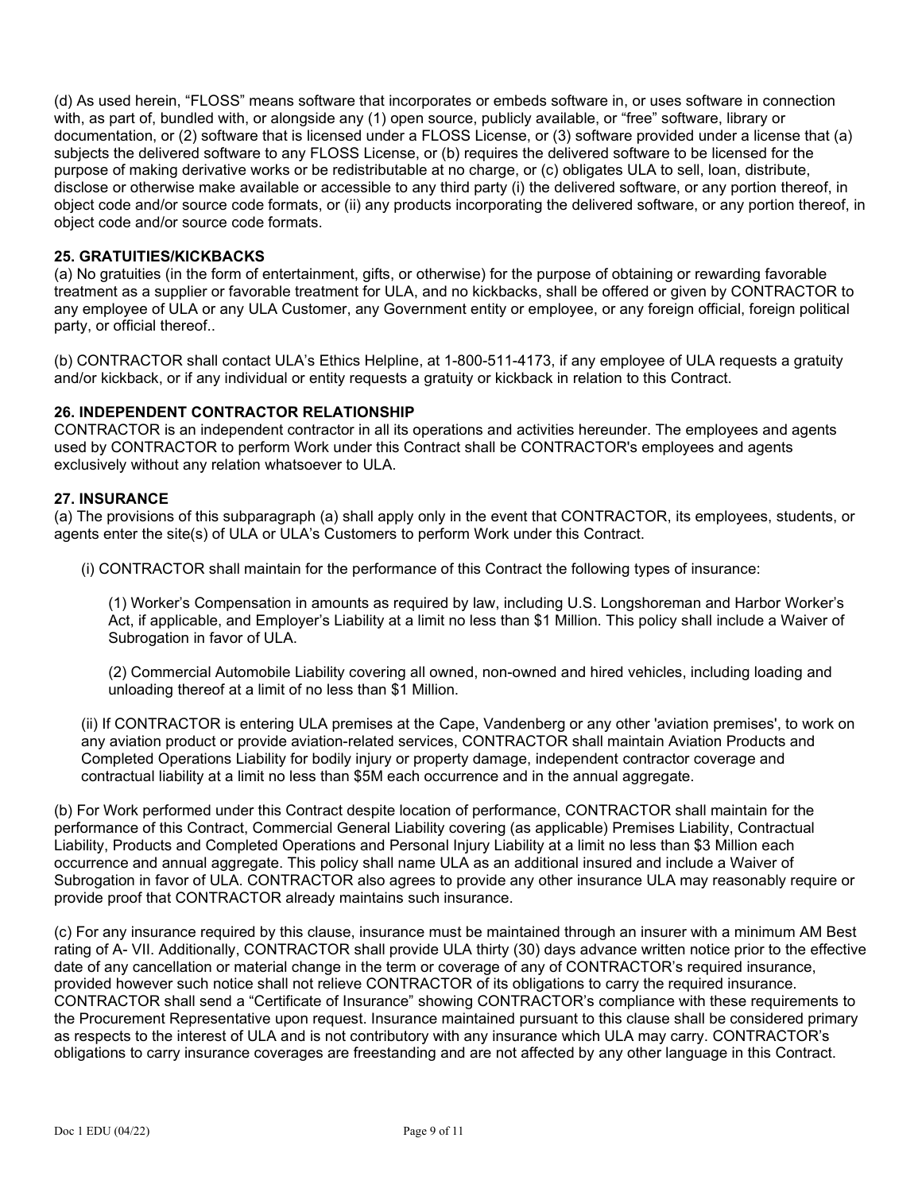(d) As used herein, "FLOSS" means software that incorporates or embeds software in, or uses software in connection with, as part of, bundled with, or alongside any (1) open source, publicly available, or "free" software, library or documentation, or (2) software that is licensed under a FLOSS License, or (3) software provided under a license that (a) subjects the delivered software to any FLOSS License, or (b) requires the delivered software to be licensed for the purpose of making derivative works or be redistributable at no charge, or (c) obligates ULA to sell, loan, distribute, disclose or otherwise make available or accessible to any third party (i) the delivered software, or any portion thereof, in object code and/or source code formats, or (ii) any products incorporating the delivered software, or any portion thereof, in object code and/or source code formats.

# **25. GRATUITIES/KICKBACKS**

(a) No gratuities (in the form of entertainment, gifts, or otherwise) for the purpose of obtaining or rewarding favorable treatment as a supplier or favorable treatment for ULA, and no kickbacks, shall be offered or given by CONTRACTOR to any employee of ULA or any ULA Customer, any Government entity or employee, or any foreign official, foreign political party, or official thereof..

(b) CONTRACTOR shall contact ULA's Ethics Helpline, at 1-800-511-4173, if any employee of ULA requests a gratuity and/or kickback, or if any individual or entity requests a gratuity or kickback in relation to this Contract.

### **26. INDEPENDENT CONTRACTOR RELATIONSHIP**

CONTRACTOR is an independent contractor in all its operations and activities hereunder. The employees and agents used by CONTRACTOR to perform Work under this Contract shall be CONTRACTOR's employees and agents exclusively without any relation whatsoever to ULA.

### **27. INSURANCE**

(a) The provisions of this subparagraph (a) shall apply only in the event that CONTRACTOR, its employees, students, or agents enter the site(s) of ULA or ULA's Customers to perform Work under this Contract.

(i) CONTRACTOR shall maintain for the performance of this Contract the following types of insurance:

(1) Worker's Compensation in amounts as required by law, including U.S. Longshoreman and Harbor Worker's Act, if applicable, and Employer's Liability at a limit no less than \$1 Million. This policy shall include a Waiver of Subrogation in favor of ULA.

(2) Commercial Automobile Liability covering all owned, non-owned and hired vehicles, including loading and unloading thereof at a limit of no less than \$1 Million.

(ii) If CONTRACTOR is entering ULA premises at the Cape, Vandenberg or any other 'aviation premises', to work on any aviation product or provide aviation-related services, CONTRACTOR shall maintain Aviation Products and Completed Operations Liability for bodily injury or property damage, independent contractor coverage and contractual liability at a limit no less than \$5M each occurrence and in the annual aggregate.

(b) For Work performed under this Contract despite location of performance, CONTRACTOR shall maintain for the performance of this Contract, Commercial General Liability covering (as applicable) Premises Liability, Contractual Liability, Products and Completed Operations and Personal Injury Liability at a limit no less than \$3 Million each occurrence and annual aggregate. This policy shall name ULA as an additional insured and include a Waiver of Subrogation in favor of ULA. CONTRACTOR also agrees to provide any other insurance ULA may reasonably require or provide proof that CONTRACTOR already maintains such insurance.

(c) For any insurance required by this clause, insurance must be maintained through an insurer with a minimum AM Best rating of A- VII. Additionally, CONTRACTOR shall provide ULA thirty (30) days advance written notice prior to the effective date of any cancellation or material change in the term or coverage of any of CONTRACTOR's required insurance, provided however such notice shall not relieve CONTRACTOR of its obligations to carry the required insurance. CONTRACTOR shall send a "Certificate of Insurance" showing CONTRACTOR's compliance with these requirements to the Procurement Representative upon request. Insurance maintained pursuant to this clause shall be considered primary as respects to the interest of ULA and is not contributory with any insurance which ULA may carry. CONTRACTOR's obligations to carry insurance coverages are freestanding and are not affected by any other language in this Contract.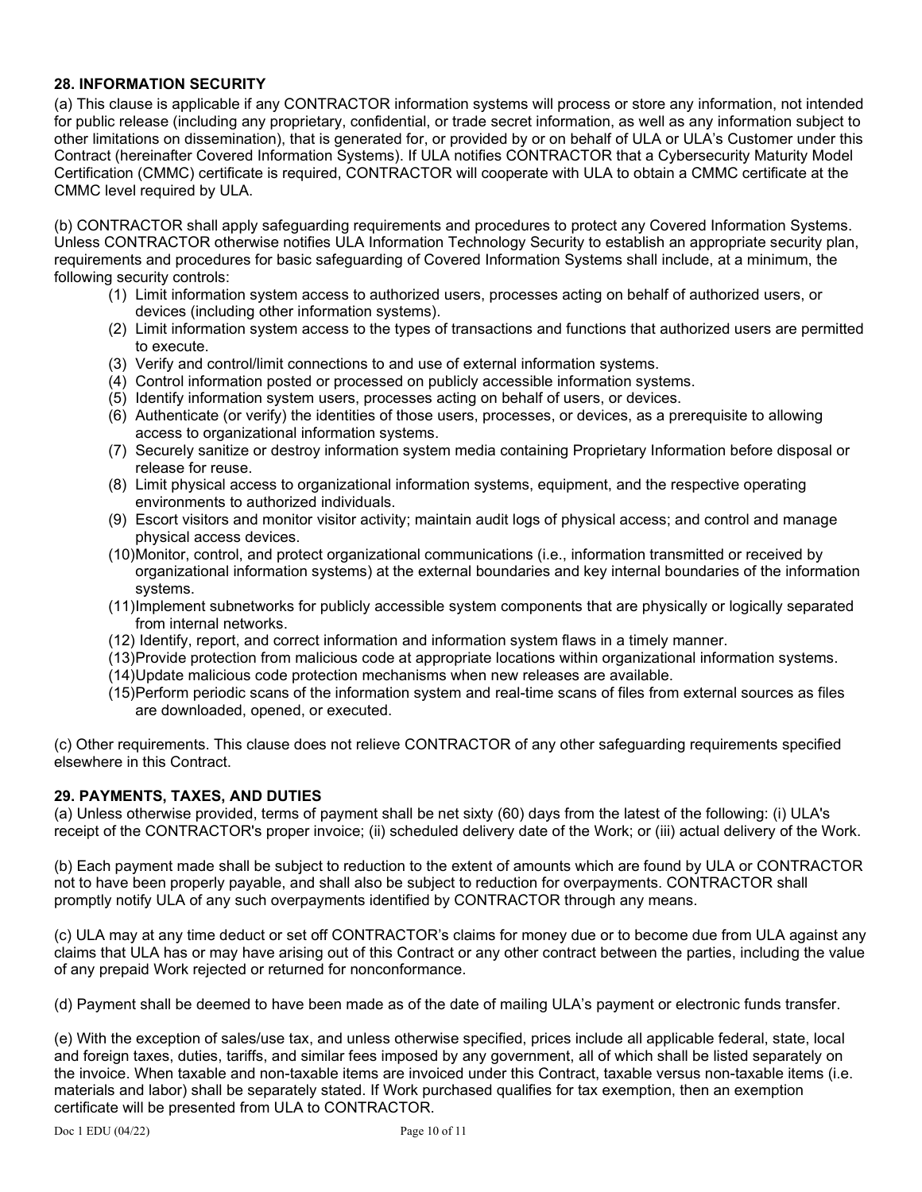# **28. INFORMATION SECURITY**

(a) This clause is applicable if any CONTRACTOR information systems will process or store any information, not intended for public release (including any proprietary, confidential, or trade secret information, as well as any information subject to other limitations on dissemination), that is generated for, or provided by or on behalf of ULA or ULA's Customer under this Contract (hereinafter Covered Information Systems). If ULA notifies CONTRACTOR that a Cybersecurity Maturity Model Certification (CMMC) certificate is required, CONTRACTOR will cooperate with ULA to obtain a CMMC certificate at the CMMC level required by ULA.

(b) CONTRACTOR shall apply safeguarding requirements and procedures to protect any Covered Information Systems. Unless CONTRACTOR otherwise notifies ULA Information Technology Security to establish an appropriate security plan, requirements and procedures for basic safeguarding of Covered Information Systems shall include, at a minimum, the following security controls:

- (1) Limit [information system](https://www.law.cornell.edu/definitions/index.php?width=840&height=800&iframe=true&def_id=14b6c0e33967d51e70a16899cace0e57&term_occur=4&term_src=Title:48:Chapter:1:Subchapter:H:Part:52:Subpart:52.2:52.204-21) access to authorized users, processes acting on behalf of authorized users, or devices (including other [information](https://www.law.cornell.edu/definitions/index.php?width=840&height=800&iframe=true&def_id=b1fec257bbbf9339978b0004042258d1&term_occur=8&term_src=Title:48:Chapter:1:Subchapter:H:Part:52:Subpart:52.2:52.204-21) systems).
- (2) Limit [information system](https://www.law.cornell.edu/definitions/index.php?width=840&height=800&iframe=true&def_id=14b6c0e33967d51e70a16899cace0e57&term_occur=5&term_src=Title:48:Chapter:1:Subchapter:H:Part:52:Subpart:52.2:52.204-21) access to the types of transactions and functions that authorized users are permitted to execute.
- (3) Verify and control/limit connections to and use of external [information](https://www.law.cornell.edu/definitions/index.php?width=840&height=800&iframe=true&def_id=b1fec257bbbf9339978b0004042258d1&term_occur=9&term_src=Title:48:Chapter:1:Subchapter:H:Part:52:Subpart:52.2:52.204-21) systems.
- (4) Control [information](https://www.law.cornell.edu/definitions/index.php?width=840&height=800&iframe=true&def_id=b1fec257bbbf9339978b0004042258d1&term_occur=10&term_src=Title:48:Chapter:1:Subchapter:H:Part:52:Subpart:52.2:52.204-21) posted or processed on publicly accessible [information](https://www.law.cornell.edu/definitions/index.php?width=840&height=800&iframe=true&def_id=b1fec257bbbf9339978b0004042258d1&term_occur=11&term_src=Title:48:Chapter:1:Subchapter:H:Part:52:Subpart:52.2:52.204-21) systems.
- (5) Identify [information system](https://www.law.cornell.edu/definitions/index.php?width=840&height=800&iframe=true&def_id=14b6c0e33967d51e70a16899cace0e57&term_occur=6&term_src=Title:48:Chapter:1:Subchapter:H:Part:52:Subpart:52.2:52.204-21) users, processes acting on behalf of users, or devices.
- (6) Authenticate (or verify) the identities of those users, processes, or devices, as a prerequisite to allowing access to organizational [information](https://www.law.cornell.edu/definitions/index.php?width=840&height=800&iframe=true&def_id=b1fec257bbbf9339978b0004042258d1&term_occur=12&term_src=Title:48:Chapter:1:Subchapter:H:Part:52:Subpart:52.2:52.204-21) systems.
- (7) Securely sanitize or destroy [information system](https://www.law.cornell.edu/definitions/index.php?width=840&height=800&iframe=true&def_id=14b6c0e33967d51e70a16899cace0e57&term_occur=7&term_src=Title:48:Chapter:1:Subchapter:H:Part:52:Subpart:52.2:52.204-21) media containing [Proprietary](https://www.law.cornell.edu/definitions/index.php?width=840&height=800&iframe=true&def_id=c3c19c60725bd952b69ef7557334313d&term_occur=2&term_src=Title:48:Chapter:1:Subchapter:H:Part:52:Subpart:52.2:52.204-21) Information before disposal or release for reuse.
- (8) Limit physical access to organizational [information](https://www.law.cornell.edu/definitions/index.php?width=840&height=800&iframe=true&def_id=b1fec257bbbf9339978b0004042258d1&term_occur=13&term_src=Title:48:Chapter:1:Subchapter:H:Part:52:Subpart:52.2:52.204-21) systems, [equipment,](https://www.law.cornell.edu/definitions/index.php?width=840&height=800&iframe=true&def_id=968a5b4de9973418d4e70b996d5b2a1b&term_occur=1&term_src=Title:48:Chapter:1:Subchapter:H:Part:52:Subpart:52.2:52.204-21) and the respective operating environments to authorized individuals.
- (9) Escort visitors and monitor visitor activity; maintain audit logs of physical access; and control and manage physical access devices.
- (10)Monitor, control, and protect organizational communications (i.e., [information](https://www.law.cornell.edu/definitions/index.php?width=840&height=800&iframe=true&def_id=b1fec257bbbf9339978b0004042258d1&term_occur=14&term_src=Title:48:Chapter:1:Subchapter:H:Part:52:Subpart:52.2:52.204-21) transmitted or received by organizational [information](https://www.law.cornell.edu/definitions/index.php?width=840&height=800&iframe=true&def_id=b1fec257bbbf9339978b0004042258d1&term_occur=15&term_src=Title:48:Chapter:1:Subchapter:H:Part:52:Subpart:52.2:52.204-21) systems) at the external boundaries and key internal boundaries of the [information](https://www.law.cornell.edu/definitions/index.php?width=840&height=800&iframe=true&def_id=b1fec257bbbf9339978b0004042258d1&term_occur=16&term_src=Title:48:Chapter:1:Subchapter:H:Part:52:Subpart:52.2:52.204-21) systems.
- (11)Implement subnetworks for publicly accessible system [components](https://www.law.cornell.edu/definitions/index.php?width=840&height=800&iframe=true&def_id=f04e45987b18833cc9be5bc2b16e5e46&term_occur=1&term_src=Title:48:Chapter:1:Subchapter:H:Part:52:Subpart:52.2:52.204-21) that are physically or logically separated from internal networks.
- (12) Identify, report, and correct [information](https://www.law.cornell.edu/definitions/index.php?width=840&height=800&iframe=true&def_id=b1fec257bbbf9339978b0004042258d1&term_occur=17&term_src=Title:48:Chapter:1:Subchapter:H:Part:52:Subpart:52.2:52.204-21) and [information system](https://www.law.cornell.edu/definitions/index.php?width=840&height=800&iframe=true&def_id=14b6c0e33967d51e70a16899cace0e57&term_occur=8&term_src=Title:48:Chapter:1:Subchapter:H:Part:52:Subpart:52.2:52.204-21) flaws in a timely manner.
- (13[\)Provide](https://www.law.cornell.edu/definitions/index.php?width=840&height=800&iframe=true&def_id=80fb588108eda34822560ae27fdc9a0d&term_occur=3&term_src=Title:48:Chapter:1:Subchapter:H:Part:52:Subpart:52.2:52.204-21) protection from malicious code at appropriate locations within organizational [information](https://www.law.cornell.edu/definitions/index.php?width=840&height=800&iframe=true&def_id=b1fec257bbbf9339978b0004042258d1&term_occur=18&term_src=Title:48:Chapter:1:Subchapter:H:Part:52:Subpart:52.2:52.204-21) systems.
- (14)Update malicious code protection mechanisms when [new](https://www.law.cornell.edu/definitions/index.php?width=840&height=800&iframe=true&def_id=c5c2d07af4c2ec439e4112a6cd55a427&term_occur=1&term_src=Title:48:Chapter:1:Subchapter:H:Part:52:Subpart:52.2:52.204-21) releases are available.
- (15)Perform periodic scans of the [information system](https://www.law.cornell.edu/definitions/index.php?width=840&height=800&iframe=true&def_id=14b6c0e33967d51e70a16899cace0e57&term_occur=9&term_src=Title:48:Chapter:1:Subchapter:H:Part:52:Subpart:52.2:52.204-21) and real-time scans of files from external sources as files are downloaded, opened, or executed.

(c) Other requirements. This clause does not relieve CONTRACTOR of any other [safeguarding](https://www.law.cornell.edu/definitions/index.php?width=840&height=800&iframe=true&def_id=b2ef9832bf94d483a3defd51e18280a5&term_occur=4&term_src=Title:48:Chapter:1:Subchapter:H:Part:52:Subpart:52.2:52.204-21) requirements specified elsewhere in this Contract.

### **29. PAYMENTS, TAXES, AND DUTIES**

(a) Unless otherwise provided, terms of payment shall be net sixty (60) days from the latest of the following: (i) ULA's receipt of the CONTRACTOR's proper invoice; (ii) scheduled delivery date of the Work; or (iii) actual delivery of the Work.

(b) Each payment made shall be subject to reduction to the extent of amounts which are found by ULA or CONTRACTOR not to have been properly payable, and shall also be subject to reduction for overpayments. CONTRACTOR shall promptly notify ULA of any such overpayments identified by CONTRACTOR through any means.

(c) ULA may at any time deduct or set off CONTRACTOR's claims for money due or to become due from ULA against any claims that ULA has or may have arising out of this Contract or any other contract between the parties, including the value of any prepaid Work rejected or returned for nonconformance.

(d) Payment shall be deemed to have been made as of the date of mailing ULA's payment or electronic funds transfer.

(e) With the exception of sales/use tax, and unless otherwise specified, prices include all applicable federal, state, local and foreign taxes, duties, tariffs, and similar fees imposed by any government, all of which shall be listed separately on the invoice. When taxable and non-taxable items are invoiced under this Contract, taxable versus non-taxable items (i.e. materials and labor) shall be separately stated. If Work purchased qualifies for tax exemption, then an exemption certificate will be presented from ULA to CONTRACTOR.